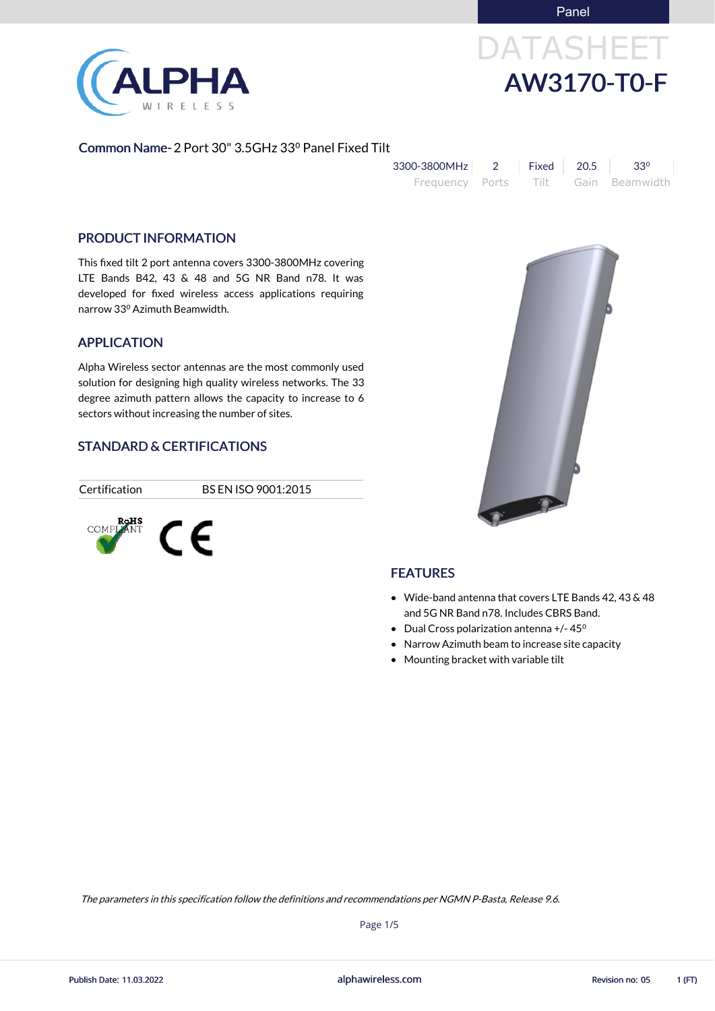Panel



# DATASHEET AW3170-T0-F

#### Common Name- 2 Port 30" 3.5GHz 33⁰ Panel Fixed Tilt

| 3300-3800MHz    | Fixed $\parallel$ 20.5 | $33^{\circ}$        |
|-----------------|------------------------|---------------------|
| Frequency Ports |                        | Tilt Gain Beamwidth |

#### PRODUCT INFORMATION

This fixed tilt 2 port antenna covers 3300-3800MHz covering LTE Bands B42, 43 & 48 and 5G NR Band n78. It was developed for fixed wireless access applications requiring narrow 33⁰ Azimuth Beamwidth.

#### APPLICATION

Alpha Wireless sector antennas are the most commonly used solution for designing high quality wireless networks. The 33 degree azimuth pattern allows the capacity to increase to 6 sectors without increasing the number of sites.

#### STANDARD & CERTIFICATIONS

Certification BS EN ISO 9001:2015





### **FEATURES**

- Wide-band antenna that covers LTE Bands 42, 43 & 48 and 5G NR Band n78. Includes CBRS Band.
- Dual Cross polarization antenna +/-45<sup>o</sup>
- Narrow Azimuth beam to increase site capacity
- Mounting bracket with variable tilt

alphawireless.com

Page 1/5

The parameters in this specification follow the definitions and recommendations per NGMN P-Basta, Release 9.6.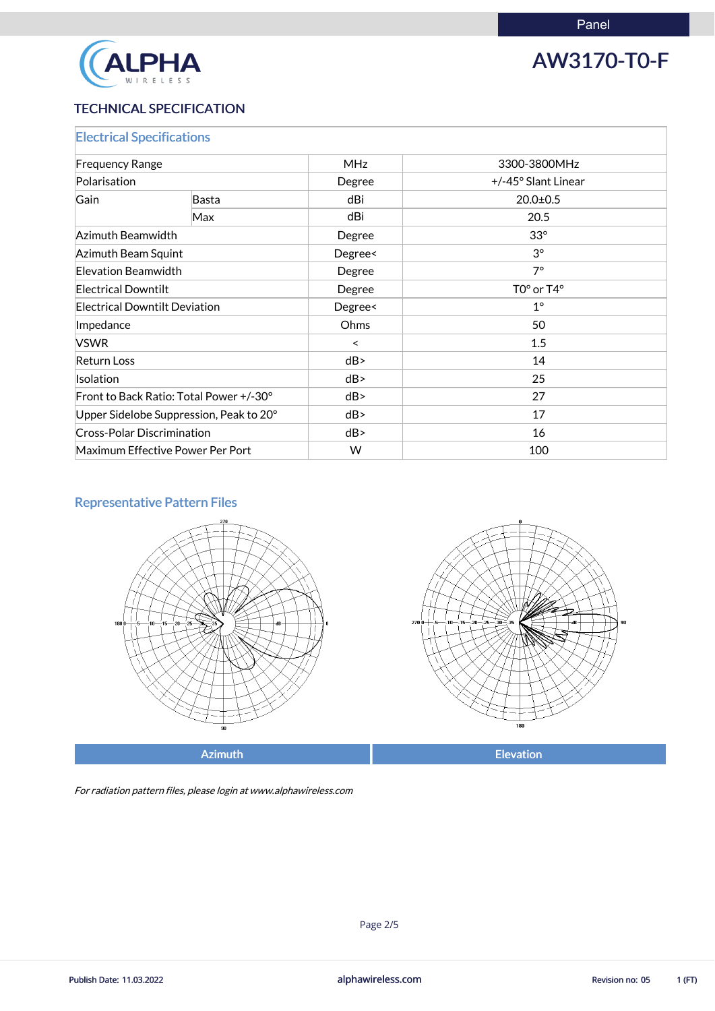

## AW3170-T0-F

### TECHNICAL SPECIFICATION

| <b>Electrical Specifications</b>        |              |            |                     |  |
|-----------------------------------------|--------------|------------|---------------------|--|
| <b>Frequency Range</b>                  |              | <b>MHz</b> | 3300-3800MHz        |  |
| Polarisation                            |              | Degree     | +/-45° Slant Linear |  |
| Gain                                    | <b>Basta</b> | dBi        | $20.0 \pm 0.5$      |  |
|                                         | Max          | dBi        | 20.5                |  |
| Azimuth Beamwidth                       |              | Degree     | $33^\circ$          |  |
| Azimuth Beam Squint                     |              | Degree<    | $3^{\circ}$         |  |
| <b>Elevation Beamwidth</b>              |              | Degree     | $7^\circ$           |  |
| <b>Electrical Downtilt</b>              |              | Degree     | $TOo$ or $T4o$      |  |
| <b>Electrical Downtilt Deviation</b>    |              | Degree<    | $1^\circ$           |  |
| Impedance                               |              | Ohms       | 50                  |  |
| <b>VSWR</b>                             |              | $\prec$    | 1.5                 |  |
| <b>Return Loss</b>                      |              | dB         | 14                  |  |
| Isolation                               |              | dB         | 25                  |  |
| Front to Back Ratio: Total Power +/-30° |              | dB         | 27                  |  |
| Upper Sidelobe Suppression, Peak to 20° |              | dB         | 17                  |  |
| <b>Cross-Polar Discrimination</b>       |              | dB         | 16                  |  |
| Maximum Effective Power Per Port        |              | W          | 100                 |  |

### Representative Pattern Files





Azimuth **Elevation** 

For radiation pattern files, please login at www.alphawireless.com

alphawireless.com

Publish Date: 11.03.2022 **Revision no: 05** 1 (FT)

Page 2/5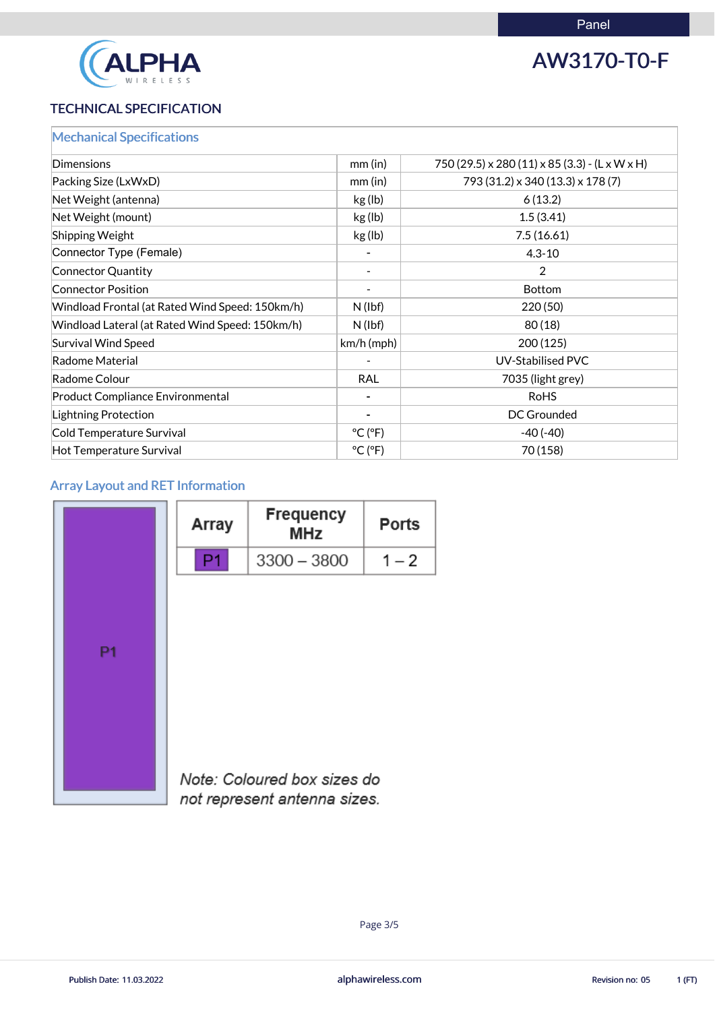

# AW3170-T0-F

#### TECHNICAL SPECIFICATION

|  |  | <b>Mechanical Specifications</b> |  |
|--|--|----------------------------------|--|
|  |  |                                  |  |

| Dimensions                                      | mm (in)                      | 750 (29.5) x 280 (11) x 85 (3.3) - (L x W x H) |
|-------------------------------------------------|------------------------------|------------------------------------------------|
| Packing Size (LxWxD)                            | mm (in)                      | 793 (31.2) x 340 (13.3) x 178 (7)              |
| Net Weight (antenna)                            | kg (lb)                      | 6(13.2)                                        |
| Net Weight (mount)                              | kg (lb)                      | 1.5(3.41)                                      |
| Shipping Weight                                 | kg (lb)                      | 7.5(16.61)                                     |
| Connector Type (Female)                         |                              | $4.3 - 10$                                     |
| Connector Quantity                              |                              | 2                                              |
| <b>Connector Position</b>                       |                              | <b>Bottom</b>                                  |
| Windload Frontal (at Rated Wind Speed: 150km/h) | $N$ (lbf)                    | 220 (50)                                       |
| Windload Lateral (at Rated Wind Speed: 150km/h) | $N$ (lbf)                    | 80(18)                                         |
| <b>Survival Wind Speed</b>                      | $km/h$ (mph)                 | 200 (125)                                      |
| Radome Material                                 |                              | <b>UV-Stabilised PVC</b>                       |
| Radome Colour                                   | <b>RAL</b>                   | 7035 (light grey)                              |
| <b>Product Compliance Environmental</b>         |                              | <b>RoHS</b>                                    |
| Lightning Protection                            |                              | <b>DC Grounded</b>                             |
| Cold Temperature Survival                       | $^{\circ}$ C ( $^{\circ}$ F) | $-40(-40)$                                     |
| Hot Temperature Survival                        | $^{\circ}$ C ( $^{\circ}$ F) | 70 (158)                                       |

### Array Layout and RET Information

|    | Array | <b>Frequency</b><br><b>MHz</b> | <b>Ports</b> |
|----|-------|--------------------------------|--------------|
|    |       | $3300 - 3800$                  | $1 - 2$      |
| P1 |       |                                |              |
|    |       |                                |              |



Note: Coloured box sizes do not represent antenna sizes.

alphawireless.com

Publish Date: 11.03.2022 **Revision no: 05** 1 (FT)

Page 3/5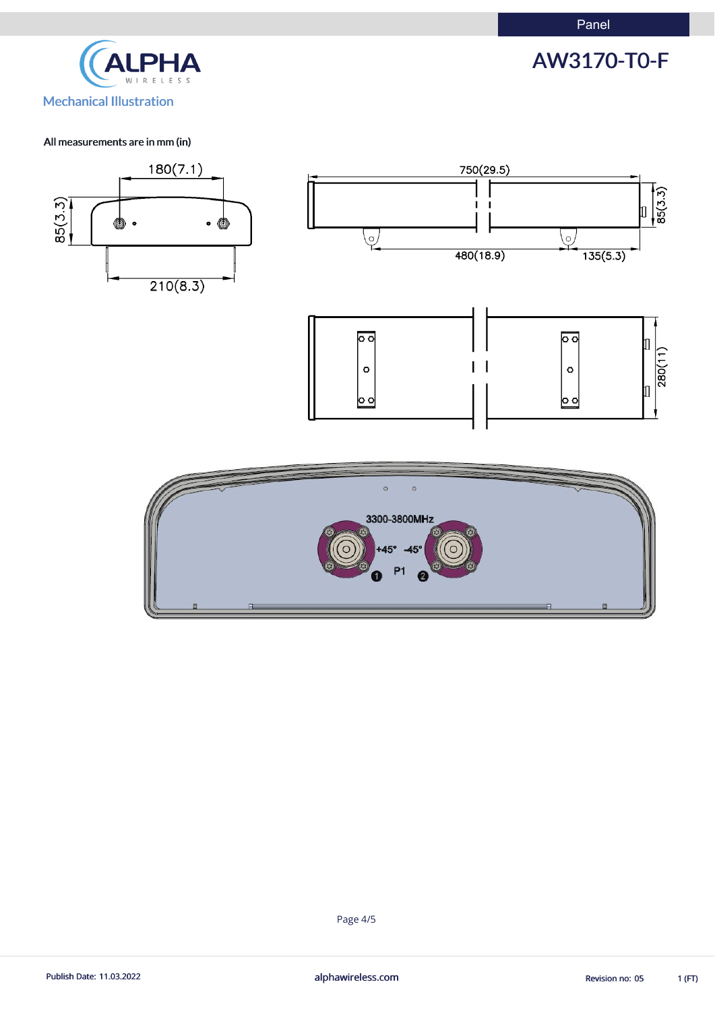



#### All measurements are in mm (in)



Page 4/5